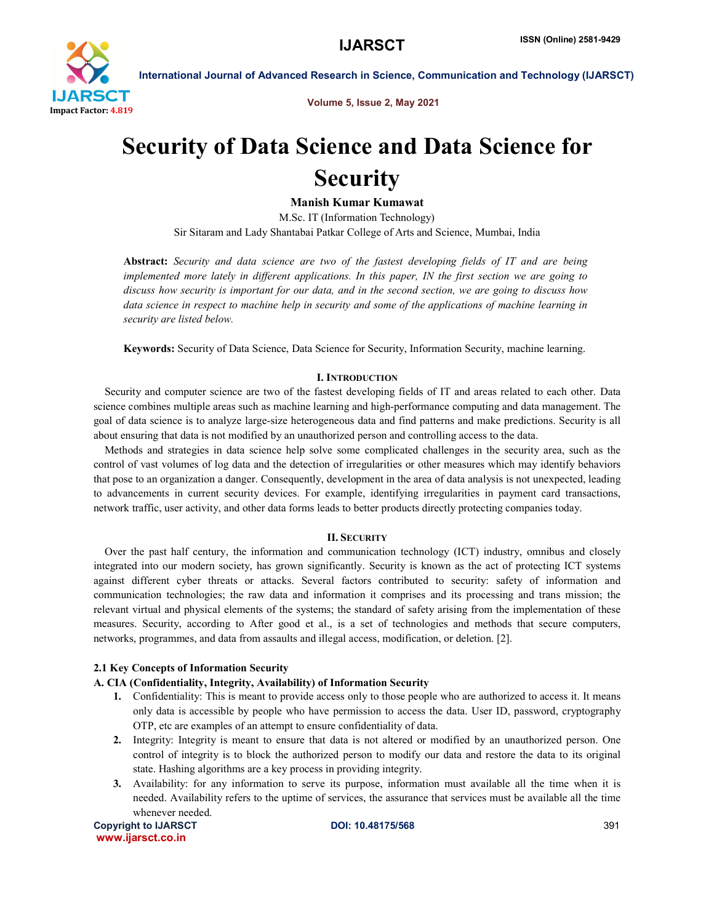

Volume 5, Issue 2, May 2021

# Security of Data Science and Data Science for **Security**

Manish Kumar Kumawat

M.Sc. IT (Information Technology) Sir Sitaram and Lady Shantabai Patkar College of Arts and Science, Mumbai, India

Abstract: *Security and data science are two of the fastest developing fields of IT and are being implemented more lately in different applications. In this paper, IN the first section we are going to discuss how security is important for our data, and in the second section, we are going to discuss how*  data science in respect to machine help in security and some of the applications of machine learning in *security are listed below.*

Keywords: Security of Data Science, Data Science for Security, Information Security, machine learning.

## I. INTRODUCTION

 Security and computer science are two of the fastest developing fields of IT and areas related to each other. Data science combines multiple areas such as machine learning and high-performance computing and data management. The goal of data science is to analyze large-size heterogeneous data and find patterns and make predictions. Security is all about ensuring that data is not modified by an unauthorized person and controlling access to the data.

 Methods and strategies in data science help solve some complicated challenges in the security area, such as the control of vast volumes of log data and the detection of irregularities or other measures which may identify behaviors that pose to an organization a danger. Consequently, development in the area of data analysis is not unexpected, leading to advancements in current security devices. For example, identifying irregularities in payment card transactions, network traffic, user activity, and other data forms leads to better products directly protecting companies today.

## II. SECURITY

 Over the past half century, the information and communication technology (ICT) industry, omnibus and closely integrated into our modern society, has grown significantly. Security is known as the act of protecting ICT systems against different cyber threats or attacks. Several factors contributed to security: safety of information and communication technologies; the raw data and information it comprises and its processing and trans mission; the relevant virtual and physical elements of the systems; the standard of safety arising from the implementation of these measures. Security, according to After good et al., is a set of technologies and methods that secure computers, networks, programmes, and data from assaults and illegal access, modification, or deletion. [2].

## 2.1 Key Concepts of Information Security

## A. CIA (Confidentiality, Integrity, Availability) of Information Security

- 1. Confidentiality: This is meant to provide access only to those people who are authorized to access it. It means only data is accessible by people who have permission to access the data. User ID, password, cryptography OTP, etc are examples of an attempt to ensure confidentiality of data.
- 2. Integrity: Integrity is meant to ensure that data is not altered or modified by an unauthorized person. One control of integrity is to block the authorized person to modify our data and restore the data to its original state. Hashing algorithms are a key process in providing integrity.
- 3. Availability: for any information to serve its purpose, information must available all the time when it is needed. Availability refers to the uptime of services, the assurance that services must be available all the time whenever needed.

```
Copyright to IJARSCT DOI: 10.48175/568 391
www.ijarsct.co.in
```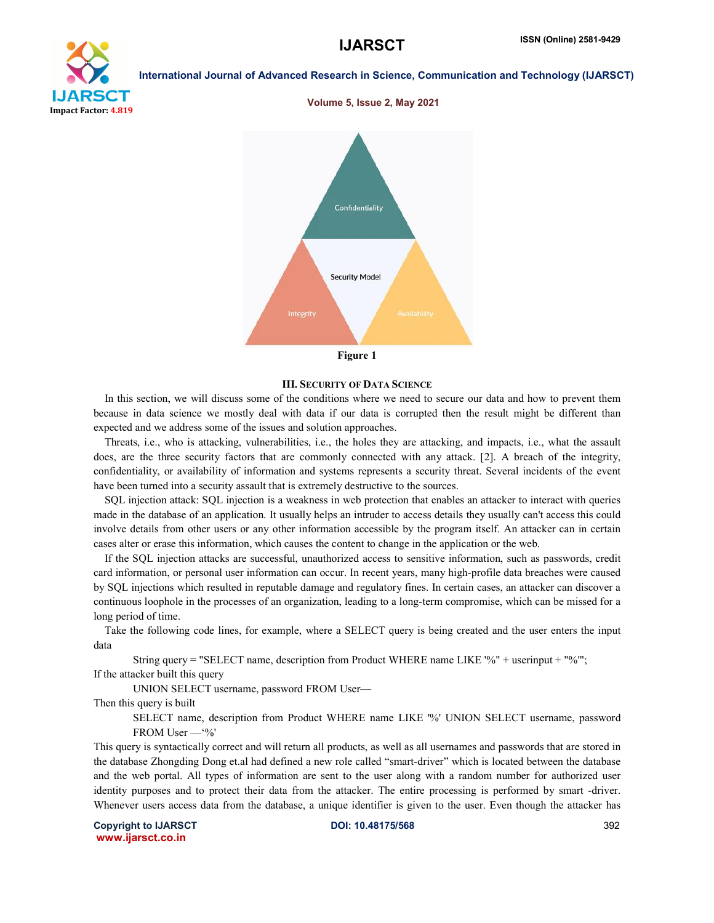

### Volume 5, Issue 2, May 2021



## Figure 1

### III. SECURITY OF DATA SCIENCE

 In this section, we will discuss some of the conditions where we need to secure our data and how to prevent them because in data science we mostly deal with data if our data is corrupted then the result might be different than expected and we address some of the issues and solution approaches.

 Threats, i.e., who is attacking, vulnerabilities, i.e., the holes they are attacking, and impacts, i.e., what the assault does, are the three security factors that are commonly connected with any attack. [2]. A breach of the integrity, confidentiality, or availability of information and systems represents a security threat. Several incidents of the event have been turned into a security assault that is extremely destructive to the sources.

 SQL injection attack: SQL injection is a weakness in web protection that enables an attacker to interact with queries made in the database of an application. It usually helps an intruder to access details they usually can't access this could involve details from other users or any other information accessible by the program itself. An attacker can in certain cases alter or erase this information, which causes the content to change in the application or the web.

 If the SQL injection attacks are successful, unauthorized access to sensitive information, such as passwords, credit card information, or personal user information can occur. In recent years, many high-profile data breaches were caused by SQL injections which resulted in reputable damage and regulatory fines. In certain cases, an attacker can discover a continuous loophole in the processes of an organization, leading to a long-term compromise, which can be missed for a long period of time.

 Take the following code lines, for example, where a SELECT query is being created and the user enters the input data

String query = "SELECT name, description from Product WHERE name LIKE '%" + userinput + "%'"; If the attacker built this query

UNION SELECT username, password FROM User—

Then this query is built

SELECT name, description from Product WHERE name LIKE '%' UNION SELECT username, password FROM User —'%'

This query is syntactically correct and will return all products, as well as all usernames and passwords that are stored in the database Zhongding Dong et.al had defined a new role called "smart-driver" which is located between the database and the web portal. All types of information are sent to the user along with a random number for authorized user identity purposes and to protect their data from the attacker. The entire processing is performed by smart -driver. Whenever users access data from the database, a unique identifier is given to the user. Even though the attacker has

Copyright to IJARSCT **DOI: 10.48175/568** 392 www.ijarsct.co.in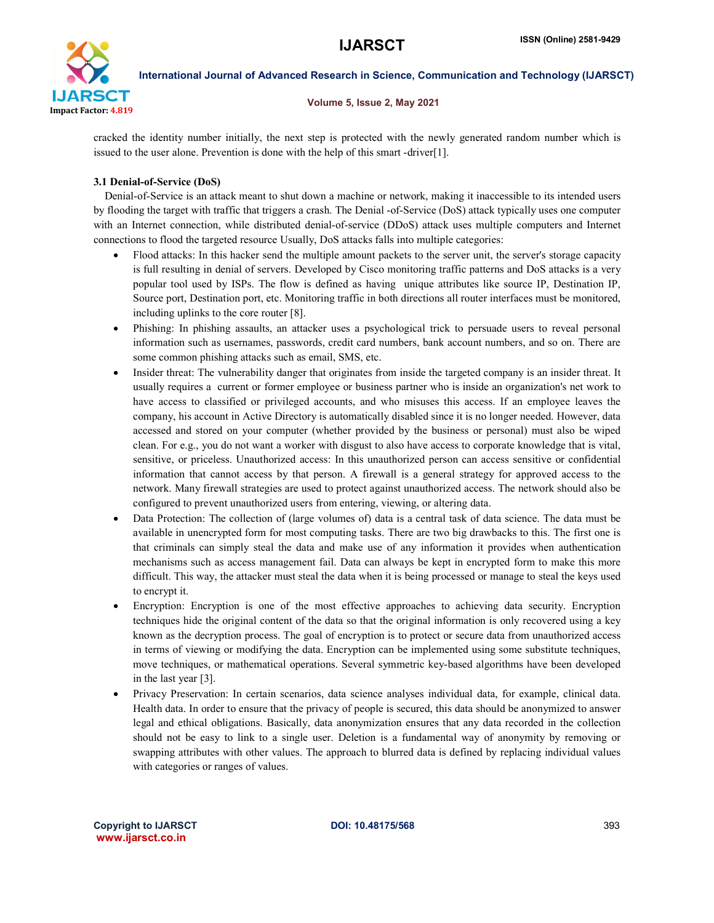

## Volume 5, Issue 2, May 2021

cracked the identity number initially, the next step is protected with the newly generated random number which is issued to the user alone. Prevention is done with the help of this smart -driver[1].

## 3.1 Denial-of-Service (DoS)

 Denial-of-Service is an attack meant to shut down a machine or network, making it inaccessible to its intended users by flooding the target with traffic that triggers a crash. The Denial -of-Service (DoS) attack typically uses one computer with an Internet connection, while distributed denial-of-service (DDoS) attack uses multiple computers and Internet connections to flood the targeted resource Usually, DoS attacks falls into multiple categories:

- Flood attacks: In this hacker send the multiple amount packets to the server unit, the server's storage capacity is full resulting in denial of servers. Developed by Cisco monitoring traffic patterns and DoS attacks is a very popular tool used by ISPs. The flow is defined as having unique attributes like source IP, Destination IP, Source port, Destination port, etc. Monitoring traffic in both directions all router interfaces must be monitored, including uplinks to the core router [8].
- Phishing: In phishing assaults, an attacker uses a psychological trick to persuade users to reveal personal information such as usernames, passwords, credit card numbers, bank account numbers, and so on. There are some common phishing attacks such as email, SMS, etc.
- Insider threat: The vulnerability danger that originates from inside the targeted company is an insider threat. It usually requires a current or former employee or business partner who is inside an organization's net work to have access to classified or privileged accounts, and who misuses this access. If an employee leaves the company, his account in Active Directory is automatically disabled since it is no longer needed. However, data accessed and stored on your computer (whether provided by the business or personal) must also be wiped clean. For e.g., you do not want a worker with disgust to also have access to corporate knowledge that is vital, sensitive, or priceless. Unauthorized access: In this unauthorized person can access sensitive or confidential information that cannot access by that person. A firewall is a general strategy for approved access to the network. Many firewall strategies are used to protect against unauthorized access. The network should also be configured to prevent unauthorized users from entering, viewing, or altering data.
- Data Protection: The collection of (large volumes of) data is a central task of data science. The data must be available in unencrypted form for most computing tasks. There are two big drawbacks to this. The first one is that criminals can simply steal the data and make use of any information it provides when authentication mechanisms such as access management fail. Data can always be kept in encrypted form to make this more difficult. This way, the attacker must steal the data when it is being processed or manage to steal the keys used to encrypt it.
- Encryption: Encryption is one of the most effective approaches to achieving data security. Encryption techniques hide the original content of the data so that the original information is only recovered using a key known as the decryption process. The goal of encryption is to protect or secure data from unauthorized access in terms of viewing or modifying the data. Encryption can be implemented using some substitute techniques, move techniques, or mathematical operations. Several symmetric key-based algorithms have been developed in the last year [3].
- Privacy Preservation: In certain scenarios, data science analyses individual data, for example, clinical data. Health data. In order to ensure that the privacy of people is secured, this data should be anonymized to answer legal and ethical obligations. Basically, data anonymization ensures that any data recorded in the collection should not be easy to link to a single user. Deletion is a fundamental way of anonymity by removing or swapping attributes with other values. The approach to blurred data is defined by replacing individual values with categories or ranges of values.

Copyright to IJARSCT **DOI: 10.48175/568** 393 www.ijarsct.co.in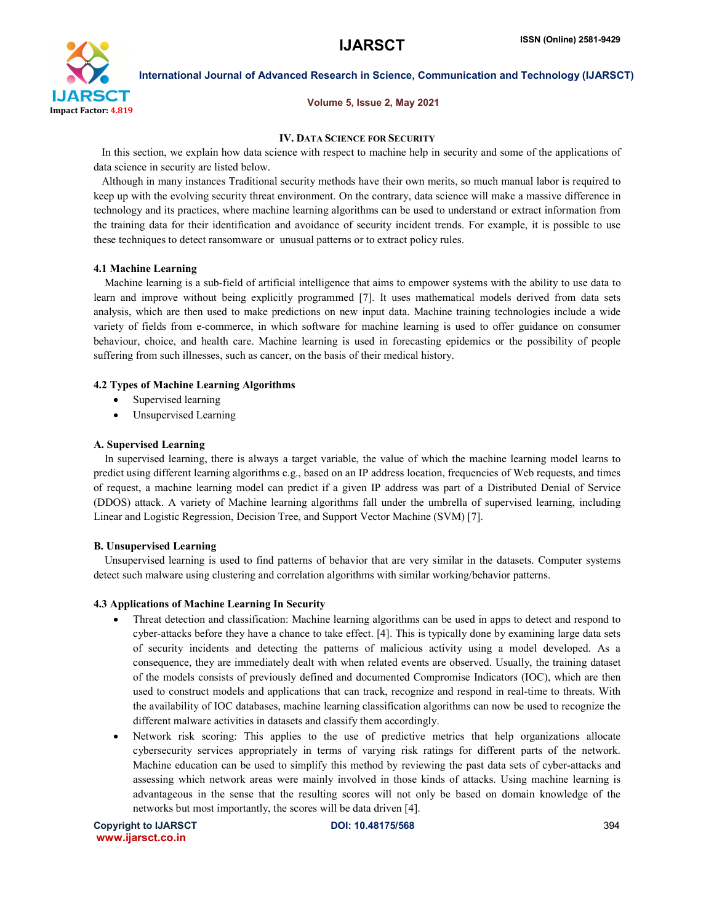

Volume 5, Issue 2, May 2021

## IV. DATA SCIENCE FOR SECURITY

 In this section, we explain how data science with respect to machine help in security and some of the applications of data science in security are listed below.

 Although in many instances Traditional security methods have their own merits, so much manual labor is required to keep up with the evolving security threat environment. On the contrary, data science will make a massive difference in technology and its practices, where machine learning algorithms can be used to understand or extract information from the training data for their identification and avoidance of security incident trends. For example, it is possible to use these techniques to detect ransomware or unusual patterns or to extract policy rules.

## 4.1 Machine Learning

 Machine learning is a sub-field of artificial intelligence that aims to empower systems with the ability to use data to learn and improve without being explicitly programmed [7]. It uses mathematical models derived from data sets analysis, which are then used to make predictions on new input data. Machine training technologies include a wide variety of fields from e-commerce, in which software for machine learning is used to offer guidance on consumer behaviour, choice, and health care. Machine learning is used in forecasting epidemics or the possibility of people suffering from such illnesses, such as cancer, on the basis of their medical history.

## 4.2 Types of Machine Learning Algorithms

- Supervised learning
- Unsupervised Learning

## A. Supervised Learning

 In supervised learning, there is always a target variable, the value of which the machine learning model learns to predict using different learning algorithms e.g., based on an IP address location, frequencies of Web requests, and times of request, a machine learning model can predict if a given IP address was part of a Distributed Denial of Service (DDOS) attack. A variety of Machine learning algorithms fall under the umbrella of supervised learning, including Linear and Logistic Regression, Decision Tree, and Support Vector Machine (SVM) [7].

## B. Unsupervised Learning

 Unsupervised learning is used to find patterns of behavior that are very similar in the datasets. Computer systems detect such malware using clustering and correlation algorithms with similar working/behavior patterns.

## 4.3 Applications of Machine Learning In Security

- Threat detection and classification: Machine learning algorithms can be used in apps to detect and respond to cyber-attacks before they have a chance to take effect. [4]. This is typically done by examining large data sets of security incidents and detecting the patterns of malicious activity using a model developed. As a consequence, they are immediately dealt with when related events are observed. Usually, the training dataset of the models consists of previously defined and documented Compromise Indicators (IOC), which are then used to construct models and applications that can track, recognize and respond in real-time to threats. With the availability of IOC databases, machine learning classification algorithms can now be used to recognize the different malware activities in datasets and classify them accordingly.
- Network risk scoring: This applies to the use of predictive metrics that help organizations allocate cybersecurity services appropriately in terms of varying risk ratings for different parts of the network. Machine education can be used to simplify this method by reviewing the past data sets of cyber-attacks and assessing which network areas were mainly involved in those kinds of attacks. Using machine learning is advantageous in the sense that the resulting scores will not only be based on domain knowledge of the networks but most importantly, the scores will be data driven [4].

Copyright to IJARSCT **DOI: 10.48175/568** 394 www.ijarsct.co.in